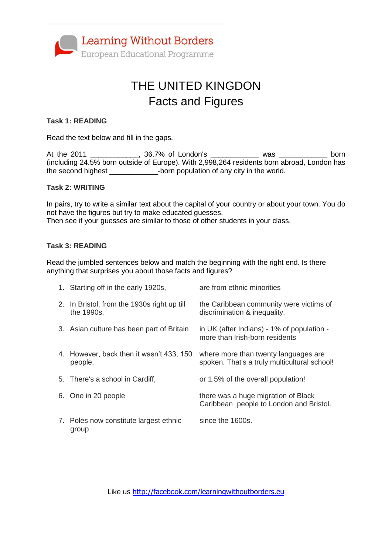

# THE UNITED KINGDON Facts and Figures

#### **Task 1: READING**

Read the text below and fill in the gaps.

At the 2011 \_\_\_\_\_\_\_\_\_\_\_\_, 36.7% of London's \_\_\_\_\_\_\_\_\_\_\_\_\_ was \_\_\_\_\_\_\_\_\_\_\_\_\_ born (including 24.5% born outside of Europe). With 2,998,264 residents born abroad, London has the second highest \_\_\_\_\_\_\_\_\_\_\_\_\_\_\_\_\_-born population of any city in the world.

#### **Task 2: WRITING**

In pairs, try to write a similar text about the capital of your country or about your town. You do not have the figures but try to make educated guesses. Then see if your guesses are similar to those of other students in your class.

#### **Task 3: READING**

Read the jumbled sentences below and match the beginning with the right end. Is there anything that surprises you about those facts and figures?

| 1. Starting off in the early 1920s,                       | are from ethnic minorities                                                           |
|-----------------------------------------------------------|--------------------------------------------------------------------------------------|
| 2. In Bristol, from the 1930s right up till<br>the 1990s, | the Caribbean community were victims of<br>discrimination & inequality.              |
| 3. Asian culture has been part of Britain                 | in UK (after Indians) - 1% of population -<br>more than Irish-born residents         |
| 4. However, back then it wasn't 433, 150<br>people,       | where more than twenty languages are<br>spoken. That's a truly multicultural school! |
| 5. There's a school in Cardiff,                           | or 1.5% of the overall population!                                                   |
| 6. One in 20 people                                       | there was a huge migration of Black<br>Caribbean people to London and Bristol.       |
| 7. Poles now constitute largest ethnic<br>group           | since the 1600s.                                                                     |

Like us <http://facebook.com/learningwithoutborders.eu>